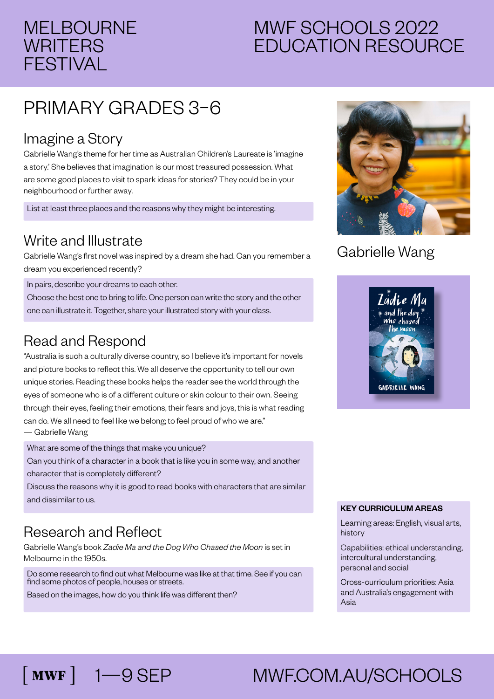## MELBOURNE **WRITERS** FESTIVAL

## MWF SCHOOLS 2022 EDUCATION RESOURCE

# PRIMARY GRADES 3–6

#### Imagine a Story

Gabrielle Wang's theme for her time as Australian Children's Laureate is 'imagine a story.' She believes that imagination is our most treasured possession. What are some good places to visit to spark ideas for stories? They could be in your neighbourhood or further away.

List at least three places and the reasons why they might be interesting.

#### Write and Illustrate

Gabrielle Wang's first novel was inspired by a dream she had. Can you remember a dream you experienced recently?

In pairs, describe your dreams to each other.

Choose the best one to bring to life. One person can write the story and the other one can illustrate it. Together, share your illustrated story with your class.

#### Read and Respond

"Australia is such a culturally diverse country, so I believe it's important for novels and picture books to reflect this. We all deserve the opportunity to tell our own unique stories. Reading these books helps the reader see the world through the eyes of someone who is of a different culture or skin colour to their own. Seeing through their eyes, feeling their emotions, their fears and joys, this is what reading can do. We all need to feel like we belong; to feel proud of who we are." — Gabrielle Wang

What are some of the things that make you unique?

Can you think of a character in a book that is like you in some way, and another character that is completely different?

Discuss the reasons why it is good to read books with characters that are similar and dissimilar to us.

### Research and Reflect

Gabrielle Wang's book *Zadie Ma and the Dog Who Chased the Moon* is set in Melbourne in the 1950s.

Do some research to find out what Melbourne was like at that time. See if you can find some photos of people, houses or streets.

Based on the images, how do you think life was different then?



#### Gabrielle Wang



#### KEY CURRICULUM AREAS

Learning areas: English, visual arts, history

Capabilities: ethical understanding, intercultural understanding, personal and social

Cross-curriculum priorities: Asia and Australia's engagement with Asia

# 1—9 SEP MWF.COM.AU/SCHOOLS